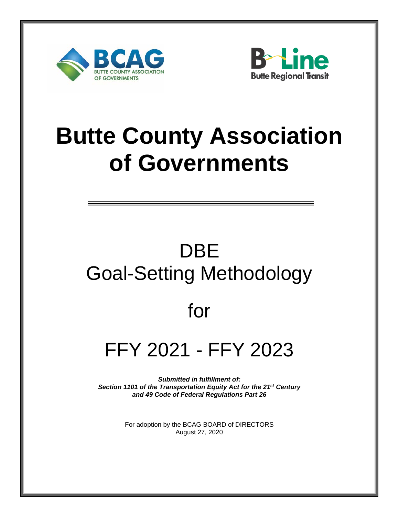



# **Butte County Association of Governments**

## DBE Goal-Setting Methodology

### for

## FFY 2021 - FFY 2023

*Submitted in fulfillment of: Section 1101 of the Transportation Equity Act for the 21st Century and 49 Code of Federal Regulations Part 26* 

> For adoption by the BCAG BOARD of DIRECTORS August 27, 2020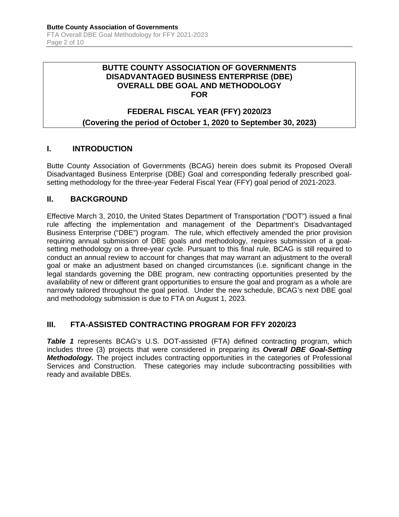#### **BUTTE COUNTY ASSOCIATION OF GOVERNMENTS DISADVANTAGED BUSINESS ENTERPRISE (DBE) OVERALL DBE GOAL AND METHODOLOGY FOR**

#### **FEDERAL FISCAL YEAR (FFY) 2020/23 (Covering the period of October 1, 2020 to September 30, 2023)**

#### **I. INTRODUCTION**

Butte County Association of Governments (BCAG) herein does submit its Proposed Overall Disadvantaged Business Enterprise (DBE) Goal and corresponding federally prescribed goalsetting methodology for the three-year Federal Fiscal Year (FFY) goal period of 2021-2023.

#### **II. BACKGROUND**

Effective March 3, 2010, the United States Department of Transportation ("DOT") issued a final rule affecting the implementation and management of the Department's Disadvantaged Business Enterprise ("DBE") program. The rule, which effectively amended the prior provision requiring annual submission of DBE goals and methodology, requires submission of a goalsetting methodology on a three-year cycle. Pursuant to this final rule, BCAG is still required to conduct an annual review to account for changes that may warrant an adjustment to the overall goal or make an adjustment based on changed circumstances (i.e. significant change in the legal standards governing the DBE program, new contracting opportunities presented by the availability of new or different grant opportunities to ensure the goal and program as a whole are narrowly tailored throughout the goal period. Under the new schedule, BCAG's next DBE goal and methodology submission is due to FTA on August 1, 2023.

#### **III. FTA-ASSISTED CONTRACTING PROGRAM FOR FFY 2020/23**

**Table 1** represents BCAG's U.S. DOT-assisted (FTA) defined contracting program, which includes three (3) projects that were considered in preparing its *Overall DBE Goal-Setting Methodology.* The project includes contracting opportunities in the categories of Professional Services and Construction. These categories may include subcontracting possibilities with ready and available DBEs.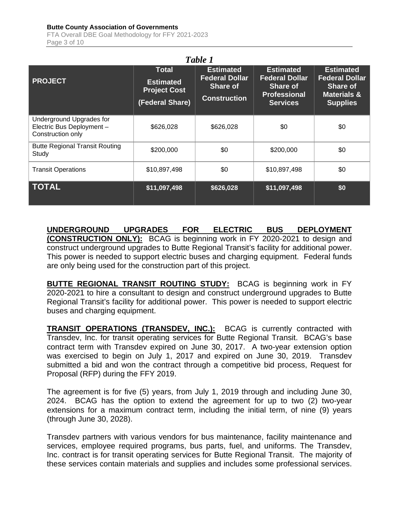| Table 1                                                                    |                                                                     |                                                                                     |                                                                                                        |                                                                                                           |  |  |  |  |  |  |
|----------------------------------------------------------------------------|---------------------------------------------------------------------|-------------------------------------------------------------------------------------|--------------------------------------------------------------------------------------------------------|-----------------------------------------------------------------------------------------------------------|--|--|--|--|--|--|
| <b>PROJECT</b>                                                             | Total<br><b>Estimated</b><br><b>Project Cost</b><br>(Federal Share) | <b>Estimated</b><br><b>Federal Dollar</b><br><b>Share of</b><br><b>Construction</b> | <b>Estimated</b><br><b>Federal Dollar</b><br><b>Share of</b><br><b>Professional</b><br><b>Services</b> | <b>Estimated</b><br><b>Federal Dollar</b><br><b>Share of</b><br><b>Materials &amp;</b><br><b>Supplies</b> |  |  |  |  |  |  |
| Underground Upgrades for<br>Electric Bus Deployment -<br>Construction only | \$626,028                                                           | \$626,028                                                                           | \$0                                                                                                    | \$0                                                                                                       |  |  |  |  |  |  |
| <b>Butte Regional Transit Routing</b><br>Study                             | \$200,000                                                           | \$0                                                                                 | \$200,000                                                                                              | \$0                                                                                                       |  |  |  |  |  |  |
| <b>Transit Operations</b>                                                  | \$10,897,498                                                        | \$0                                                                                 | \$10,897,498                                                                                           | \$0                                                                                                       |  |  |  |  |  |  |
| <b>TOTAL</b>                                                               | \$11,097,498                                                        | \$626,028                                                                           | \$11,097,498                                                                                           | \$0                                                                                                       |  |  |  |  |  |  |

**UNDERGROUND UPGRADES FOR ELECTRIC BUS DEPLOYMENT (CONSTRUCTION ONLY):** BCAG is beginning work in FY 2020-2021 to design and construct underground upgrades to Butte Regional Transit's facility for additional power. This power is needed to support electric buses and charging equipment. Federal funds are only being used for the construction part of this project.

**BUTTE REGIONAL TRANSIT ROUTING STUDY:** BCAG is beginning work in FY 2020-2021 to hire a consultant to design and construct underground upgrades to Butte Regional Transit's facility for additional power. This power is needed to support electric buses and charging equipment.

**TRANSIT OPERATIONS (TRANSDEV, INC.):** BCAG is currently contracted with Transdev, Inc. for transit operating services for Butte Regional Transit. BCAG's base contract term with Transdev expired on June 30, 2017. A two-year extension option was exercised to begin on July 1, 2017 and expired on June 30, 2019. Transdev submitted a bid and won the contract through a competitive bid process, Request for Proposal (RFP) during the FFY 2019.

The agreement is for five (5) years, from July 1, 2019 through and including June 30, 2024. BCAG has the option to extend the agreement for up to two (2) two-year extensions for a maximum contract term, including the initial term, of nine (9) years (through June 30, 2028).

Transdev partners with various vendors for bus maintenance, facility maintenance and services, employee required programs, bus parts, fuel, and uniforms. The Transdev, Inc. contract is for transit operating services for Butte Regional Transit. The majority of these services contain materials and supplies and includes some professional services.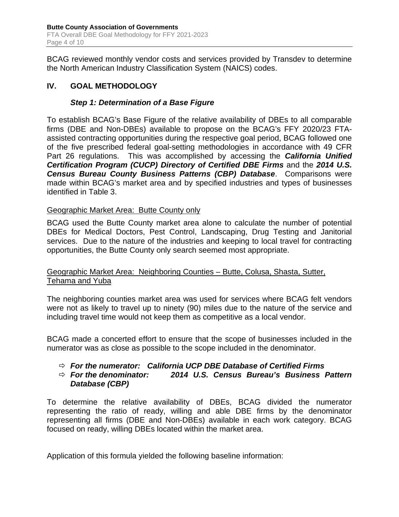BCAG reviewed monthly vendor costs and services provided by Transdev to determine the North American Industry Classification System (NAICS) codes.

#### **IV. GOAL METHODOLOGY**

#### *Step 1: Determination of a Base Figure*

To establish BCAG's Base Figure of the relative availability of DBEs to all comparable firms (DBE and Non-DBEs) available to propose on the BCAG's FFY 2020/23 FTAassisted contracting opportunities during the respective goal period, BCAG followed one of the five prescribed federal goal-setting methodologies in accordance with 49 CFR Part 26 regulations. This was accomplished by accessing the *California Unified*  **Certification Program (CUCP) Directory of Certified DBE Firms and the 2014 U.S.** *Census Bureau County Business Patterns (CBP) Database*. Comparisons were made within BCAG's market area and by specified industries and types of businesses identified in Table 3.

#### Geographic Market Area: Butte County only

BCAG used the Butte County market area alone to calculate the number of potential DBEs for Medical Doctors, Pest Control, Landscaping, Drug Testing and Janitorial services. Due to the nature of the industries and keeping to local travel for contracting opportunities, the Butte County only search seemed most appropriate.

#### Geographic Market Area: Neighboring Counties – Butte, Colusa, Shasta, Sutter, Tehama and Yuba

The neighboring counties market area was used for services where BCAG felt vendors were not as likely to travel up to ninety (90) miles due to the nature of the service and including travel time would not keep them as competitive as a local vendor.

BCAG made a concerted effort to ensure that the scope of businesses included in the numerator was as close as possible to the scope included in the denominator.

### *For the numerator: California UCP DBE Database of Certified Firms*

#### *For the denominator: 2014 U.S. Census Bureau's Business Pattern Database (CBP)*

To determine the relative availability of DBEs, BCAG divided the numerator representing the ratio of ready, willing and able DBE firms by the denominator representing all firms (DBE and Non-DBEs) available in each work category. BCAG focused on ready, willing DBEs located within the market area.

Application of this formula yielded the following baseline information: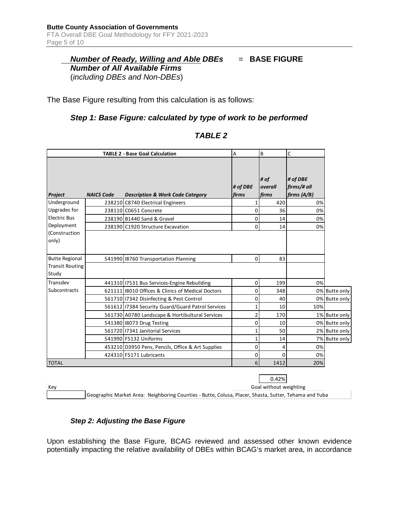#### *Number of Ready, Willing and Able DBEs* = **BASE FIGURE** *Number of All Available Firms* (*including DBEs and Non-DBEs*)

The Base Figure resulting from this calculation is as follows:

#### *Step 1: Base Figure: calculated by type of work to be performed*

| <b>TABLE 2 - Base Goal Calculation</b> |                   | Α                                                   | B                 | C                               |                                        |               |
|----------------------------------------|-------------------|-----------------------------------------------------|-------------------|---------------------------------|----------------------------------------|---------------|
| Project                                | <b>NAICS Code</b> | <b>Description &amp; Work Code Category</b>         | # of DBE<br>firms | # of<br>overall<br>firms        | # of DBE<br>firms/# all<br>firms (A/B) |               |
| Underground                            |                   | 238210 C8740 Electrical Engineers                   | 1                 | 420                             | 0%                                     |               |
| Upgrades for                           |                   | 238110 C0651 Concrete                               | 0                 | 36                              | 0%                                     |               |
| <b>Electric Bus</b>                    |                   | 238190 B1440 Sand & Gravel                          | $\mathbf 0$       | 14                              | 0%                                     |               |
| Deployment                             |                   | 238190 C1920 Structure Excavation                   | $\mathbf 0$       | 14                              | 0%                                     |               |
| (Construction<br>only)                 |                   |                                                     |                   |                                 |                                        |               |
| <b>Butte Regional</b>                  |                   | 541990 8760 Transportation Planning                 | $\pmb{0}$         | 83                              |                                        |               |
| <b>Transit Routing</b><br>Study        |                   |                                                     |                   |                                 |                                        |               |
| Transdev                               |                   | 441310 17531 Bus Services-Engine Rebuilding         | 0                 | 199                             | 0%                                     |               |
| Subcontracts                           |                   | 621111 8010 Offices & Clinics of Medical Doctors    | 0                 | 348                             |                                        | 0% Butte only |
|                                        |                   | 561710   17342 Disinfecting & Pest Control          | 0                 | 40                              |                                        | 0% Butte only |
|                                        |                   | 561612   17384 Security Guard/Guard Patrol Services | $\mathbf{1}$      | 10                              | 10%                                    |               |
|                                        |                   | 561730 A0780 Landscape & Hortibultural Services     | 2                 | 170                             |                                        | 1% Butte only |
|                                        |                   | 541380 8073 Drug Testing                            | $\mathbf 0$       | 10                              |                                        | 0% Butte only |
|                                        |                   | 561720 17341 Janitorial Services                    | 1                 | 50                              |                                        | 2% Butte only |
|                                        |                   | 541990 F5132 Uniforms                               | 1                 | 14                              |                                        | 7% Butte only |
|                                        |                   | 453210 D3950 Pens, Pencils, Office & Art Supplies   | 0                 | $\overline{4}$                  | 0%                                     |               |
|                                        |                   | 424310 F5171 Lubricants                             | 0                 | 0                               | 0%                                     |               |
| <b>TOTAL</b>                           |                   |                                                     | 6                 | 1412                            | 20%                                    |               |
| Key                                    |                   |                                                     |                   | 0.42%<br>Goal without weighting |                                        |               |

#### *TABLE 2*

Geographic Market Area: Neighboring Counties - Butte, Colusa, Placer, Shasta, Sutter, Tehama and Yuba

#### *Step 2: Adjusting the Base Figure*

Upon establishing the Base Figure, BCAG reviewed and assessed other known evidence potentially impacting the relative availability of DBEs within BCAG's market area, in accordance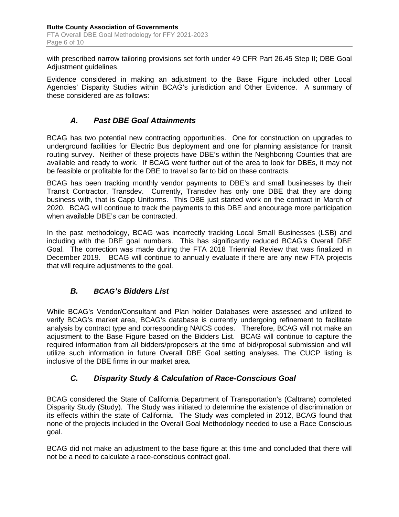with prescribed narrow tailoring provisions set forth under 49 CFR Part 26.45 Step II; DBE Goal Adjustment guidelines.

Evidence considered in making an adjustment to the Base Figure included other Local Agencies' Disparity Studies within BCAG's jurisdiction and Other Evidence. A summary of these considered are as follows:

#### *A. Past DBE Goal Attainments*

BCAG has two potential new contracting opportunities. One for construction on upgrades to underground facilities for Electric Bus deployment and one for planning assistance for transit routing survey. Neither of these projects have DBE's within the Neighboring Counties that are available and ready to work. If BCAG went further out of the area to look for DBEs, it may not be feasible or profitable for the DBE to travel so far to bid on these contracts.

BCAG has been tracking monthly vendor payments to DBE's and small businesses by their Transit Contractor, Transdev. Currently, Transdev has only one DBE that they are doing business with, that is Capp Uniforms. This DBE just started work on the contract in March of 2020. BCAG will continue to track the payments to this DBE and encourage more participation when available DBE's can be contracted.

In the past methodology, BCAG was incorrectly tracking Local Small Businesses (LSB) and including with the DBE goal numbers. This has significantly reduced BCAG's Overall DBE Goal. The correction was made during the FTA 2018 Triennial Review that was finalized in December 2019. BCAG will continue to annually evaluate if there are any new FTA projects that will require adjustments to the goal.

#### *B. BCAG's Bidders List*

While BCAG's Vendor/Consultant and Plan holder Databases were assessed and utilized to verify BCAG's market area, BCAG's database is currently undergoing refinement to facilitate analysis by contract type and corresponding NAICS codes. Therefore, BCAG will not make an adjustment to the Base Figure based on the Bidders List. BCAG will continue to capture the required information from all bidders/proposers at the time of bid/proposal submission and will utilize such information in future Overall DBE Goal setting analyses. The CUCP listing is inclusive of the DBE firms in our market area.

#### *C. Disparity Study & Calculation of Race-Conscious Goal*

BCAG considered the State of California Department of Transportation's (Caltrans) completed Disparity Study (Study). The Study was initiated to determine the existence of discrimination or its effects within the state of California. The Study was completed in 2012, BCAG found that none of the projects included in the Overall Goal Methodology needed to use a Race Conscious goal.

BCAG did not make an adjustment to the base figure at this time and concluded that there will not be a need to calculate a race-conscious contract goal.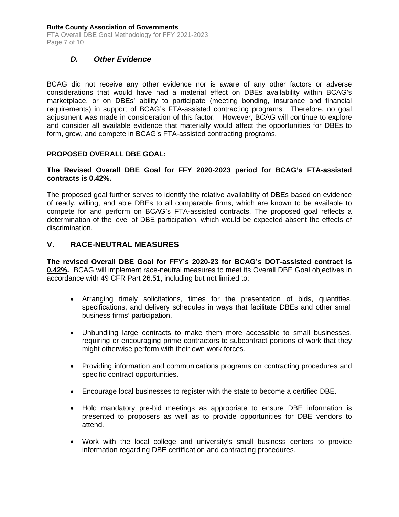#### *D. Other Evidence*

BCAG did not receive any other evidence nor is aware of any other factors or adverse considerations that would have had a material effect on DBEs availability within BCAG's marketplace, or on DBEs' ability to participate (meeting bonding, insurance and financial requirements) in support of BCAG's FTA-assisted contracting programs. Therefore, no goal adjustment was made in consideration of this factor. However, BCAG will continue to explore and consider all available evidence that materially would affect the opportunities for DBEs to form, grow, and compete in BCAG's FTA-assisted contracting programs.

#### **PROPOSED OVERALL DBE GOAL:**

#### **The Revised Overall DBE Goal for FFY 2020-2023 period for BCAG's FTA-assisted contracts is 0.42%.**

The proposed goal further serves to identify the relative availability of DBEs based on evidence of ready, willing, and able DBEs to all comparable firms, which are known to be available to compete for and perform on BCAG's FTA-assisted contracts. The proposed goal reflects a determination of the level of DBE participation, which would be expected absent the effects of discrimination.

#### **V. RACE-NEUTRAL MEASURES**

**The revised Overall DBE Goal for FFY's 2020-23 for BCAG's DOT-assisted contract is 0.42%.** BCAG will implement race-neutral measures to meet its Overall DBE Goal objectives in accordance with 49 CFR Part 26.51, including but not limited to:

- Arranging timely solicitations, times for the presentation of bids, quantities, specifications, and delivery schedules in ways that facilitate DBEs and other small business firms' participation.
- Unbundling large contracts to make them more accessible to small businesses, requiring or encouraging prime contractors to subcontract portions of work that they might otherwise perform with their own work forces.
- Providing information and communications programs on contracting procedures and specific contract opportunities.
- Encourage local businesses to register with the state to become a certified DBE.
- Hold mandatory pre-bid meetings as appropriate to ensure DBE information is presented to proposers as well as to provide opportunities for DBE vendors to attend.
- Work with the local college and university's small business centers to provide information regarding DBE certification and contracting procedures.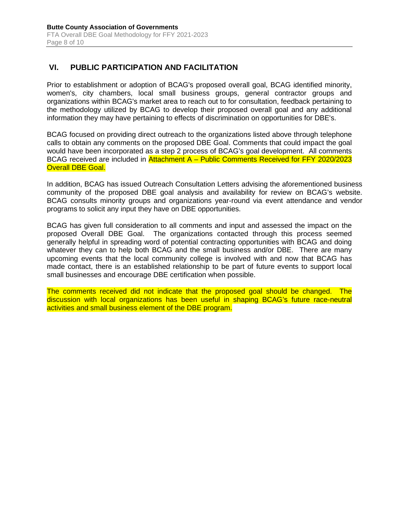#### **VI. PUBLIC PARTICIPATION AND FACILITATION**

Prior to establishment or adoption of BCAG's proposed overall goal, BCAG identified minority, women's, city chambers, local small business groups, general contractor groups and organizations within BCAG's market area to reach out to for consultation, feedback pertaining to the methodology utilized by BCAG to develop their proposed overall goal and any additional information they may have pertaining to effects of discrimination on opportunities for DBE's.

BCAG focused on providing direct outreach to the organizations listed above through telephone calls to obtain any comments on the proposed DBE Goal. Comments that could impact the goal would have been incorporated as a step 2 process of BCAG's goal development. All comments BCAG received are included in Attachment A – Public Comments Received for FFY 2020/2023 **Overall DBE Goal.** 

In addition, BCAG has issued Outreach Consultation Letters advising the aforementioned business community of the proposed DBE goal analysis and availability for review on BCAG's website. BCAG consults minority groups and organizations year-round via event attendance and vendor programs to solicit any input they have on DBE opportunities.

BCAG has given full consideration to all comments and input and assessed the impact on the proposed Overall DBE Goal. The organizations contacted through this process seemed generally helpful in spreading word of potential contracting opportunities with BCAG and doing whatever they can to help both BCAG and the small business and/or DBE. There are many upcoming events that the local community college is involved with and now that BCAG has made contact, there is an established relationship to be part of future events to support local small businesses and encourage DBE certification when possible.

The comments received did not indicate that the proposed goal should be changed. The discussion with local organizations has been useful in shaping BCAG's future race-neutral activities and small business element of the DBE program.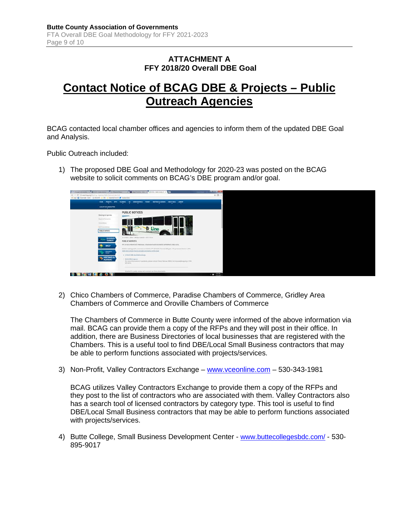#### **ATTACHMENT A FFY 2018/20 Overall DBE Goal**

### **Contact Notice of BCAG DBE & Projects – Public Outreach Agencies**

BCAG contacted local chamber offices and agencies to inform them of the updated DBE Goal and Analysis.

Public Outreach included:

1) The proposed DBE Goal and Methodology for 2020-23 was posted on the BCAG website to solicit comments on BCAG's DBE program and/or goal.



2) Chico Chambers of Commerce, Paradise Chambers of Commerce, Gridley Area Chambers of Commerce and Oroville Chambers of Commerce

The Chambers of Commerce in Butte County were informed of the above information via mail. BCAG can provide them a copy of the RFPs and they will post in their office. In addition, there are Business Directories of local businesses that are registered with the Chambers. This is a useful tool to find DBE/Local Small Business contractors that may be able to perform functions associated with projects/services.

3) Non-Profit, Valley Contractors Exchange – [www.vceonline.com](http://www.vceonline.com/) – 530-343-1981

BCAG utilizes Valley Contractors Exchange to provide them a copy of the RFPs and they post to the list of contractors who are associated with them. Valley Contractors also has a search tool of licensed contractors by category type. This tool is useful to find DBE/Local Small Business contractors that may be able to perform functions associated with projects/services.

4) Butte College, Small Business Development Center - [www.buttecollegesbdc.com/](http://www.buttecollegesbdc.com/) - 530- 895-9017